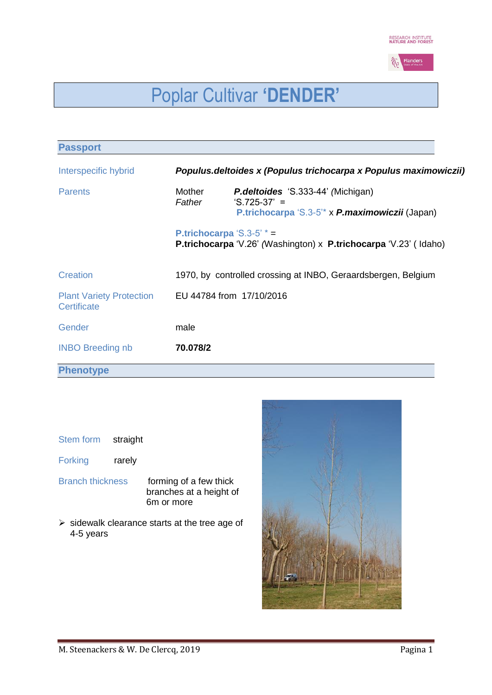

# Poplar Cultivar **'DENDER'**

| <b>Passport</b>                                |                                                                  |                                                                                                                                         |  |  |  |  |
|------------------------------------------------|------------------------------------------------------------------|-----------------------------------------------------------------------------------------------------------------------------------------|--|--|--|--|
| Interspecific hybrid                           | Populus.deltoides x (Populus trichocarpa x Populus maximowiczii) |                                                                                                                                         |  |  |  |  |
| <b>Parents</b>                                 | Mother<br>Father                                                 | <b>P.deltoides</b> 'S.333-44' (Michigan)<br>$^{\circ}$ S.725-37' =<br>P.trichocarpa 'S.3-5 <sup>*</sup> x <i>P.maximowiczii</i> (Japan) |  |  |  |  |
|                                                |                                                                  | <b>P.trichocarpa 'S.3-5' <math>* =</math></b><br><b>P.trichocarpa 'V.26' (Washington) x P.trichocarpa 'V.23' (Idaho)</b>                |  |  |  |  |
| <b>Creation</b>                                |                                                                  | 1970, by controlled crossing at INBO, Geraardsbergen, Belgium                                                                           |  |  |  |  |
| <b>Plant Variety Protection</b><br>Certificate |                                                                  | EU 44784 from 17/10/2016                                                                                                                |  |  |  |  |
| Gender                                         | male                                                             |                                                                                                                                         |  |  |  |  |
| <b>INBO Breeding nb</b>                        | 70.078/2                                                         |                                                                                                                                         |  |  |  |  |
| <b>Phenotype</b>                               |                                                                  |                                                                                                                                         |  |  |  |  |

| <b>Stem form</b> | straight |
|------------------|----------|
|------------------|----------|

- Forking rarely
- Branch thickness forming of a few thick branches at a height of 6m or more
- $\triangleright$  sidewalk clearance starts at the tree age of 4-5 years

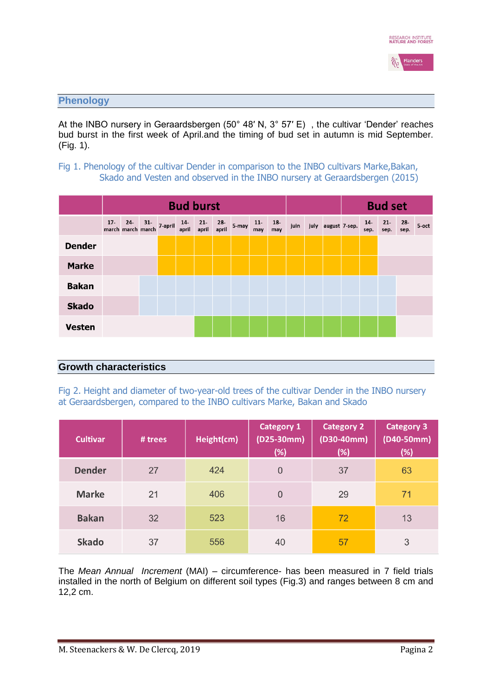

## **Phenology**

At the INBO nursery in Geraardsbergen (50° 48′ N, 3° 57′ E) , the cultivar 'Dender' reaches bud burst in the first week of April.and the timing of bud set in autumn is mid September. (Fig. 1).

# Fig 1. Phenology of the cultivar Dender in comparison to the INBO cultivars Marke,Bakan, Skado and Vesten and observed in the INBO nursery at Geraardsbergen (2015)

|               | <b>Bud burst</b> |  |  |                                                                      |  |  |              | <b>Bud set</b> |              |              |      |  |                    |               |                |             |       |
|---------------|------------------|--|--|----------------------------------------------------------------------|--|--|--------------|----------------|--------------|--------------|------|--|--------------------|---------------|----------------|-------------|-------|
|               |                  |  |  | 17- 24- 31- 7-april 14- 21-<br>march march march 7-april april april |  |  | 28-<br>april | 5-may          | $11-$<br>may | $18-$<br>may | juin |  | july august 7-sep. | $14-$<br>sep. | $21 -$<br>sep. | 28-<br>sep. | 5-oct |
| <b>Dender</b> |                  |  |  |                                                                      |  |  |              |                |              |              |      |  |                    |               |                |             |       |
| <b>Marke</b>  |                  |  |  |                                                                      |  |  |              |                |              |              |      |  |                    |               |                |             |       |
| <b>Bakan</b>  |                  |  |  |                                                                      |  |  |              |                |              |              |      |  |                    |               |                |             |       |
| <b>Skado</b>  |                  |  |  |                                                                      |  |  |              |                |              |              |      |  |                    |               |                |             |       |
| <b>Vesten</b> |                  |  |  |                                                                      |  |  |              |                |              |              |      |  |                    |               |                |             |       |

# **Growth characteristics**

Fig 2. Height and diameter of two-year-old trees of the cultivar Dender in the INBO nursery at Geraardsbergen, compared to the INBO cultivars Marke, Bakan and Skado

| <b>Cultivar</b> | # trees | Height(cm) | <b>Category 1</b><br>$(D25-30mm)$<br>(%) | <b>Category 2</b><br>$(D30-40mm)$<br>(%) | <b>Category 3</b><br>$(D40-50mm)$<br>(%) |
|-----------------|---------|------------|------------------------------------------|------------------------------------------|------------------------------------------|
| <b>Dender</b>   | 27      | 424        | $\overline{0}$                           | 37                                       | 63                                       |
| <b>Marke</b>    | 21      | 406        | $\overline{0}$                           | 29                                       | 71                                       |
| <b>Bakan</b>    | 32      | 523        | 16                                       | 72                                       | 13                                       |
| <b>Skado</b>    | 37      | 556        | 40                                       | 57                                       | 3                                        |

The *Mean Annual Increment* (MAI) – circumference- has been measured in 7 field trials installed in the north of Belgium on different soil types (Fig.3) and ranges between 8 cm and 12,2 cm.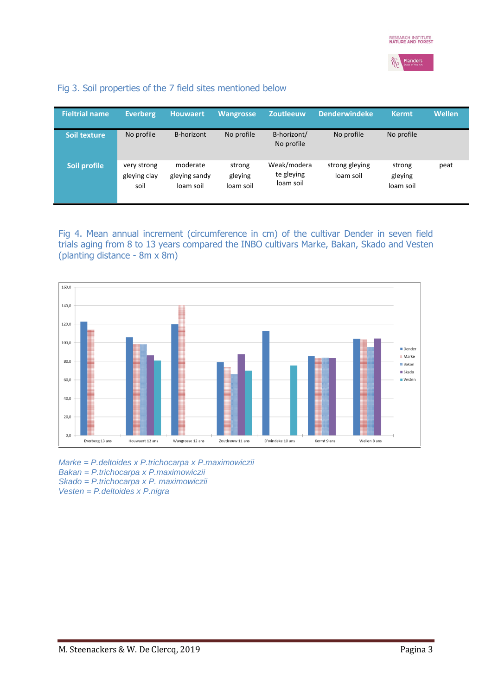

Fig 3. Soil properties of the 7 field sites mentioned below

| <b>Fieltrial name</b> | <b>Everberg</b>                     | <b>Houwaert</b>                        | <b>Wangrosse</b>               | <b>Zoutleeuw</b>                       | <b>Denderwindeke</b>        | <b>Kermt</b>                   | <b>Wellen</b> |
|-----------------------|-------------------------------------|----------------------------------------|--------------------------------|----------------------------------------|-----------------------------|--------------------------------|---------------|
| <b>Soil texture</b>   | No profile                          | B-horizont                             | No profile                     | B-horizont/<br>No profile              | No profile                  | No profile                     |               |
| Soil profile          | very strong<br>gleying clay<br>soil | moderate<br>gleying sandy<br>loam soil | strong<br>gleying<br>loam soil | Weak/modera<br>te gleying<br>loam soil | strong gleying<br>loam soil | strong<br>gleying<br>loam soil | peat          |

Fig 4. Mean annual increment (circumference in cm) of the cultivar Dender in seven field trials aging from 8 to 13 years compared the INBO cultivars Marke, Bakan, Skado and Vesten (planting distance - 8m x 8m)



*Marke = P.deltoides x P.trichocarpa x P.maximowiczii Bakan = P.trichocarpa x P.maximowiczii Skado = P.trichocarpa x P. maximowiczii Vesten = P.deltoides x P.nigra*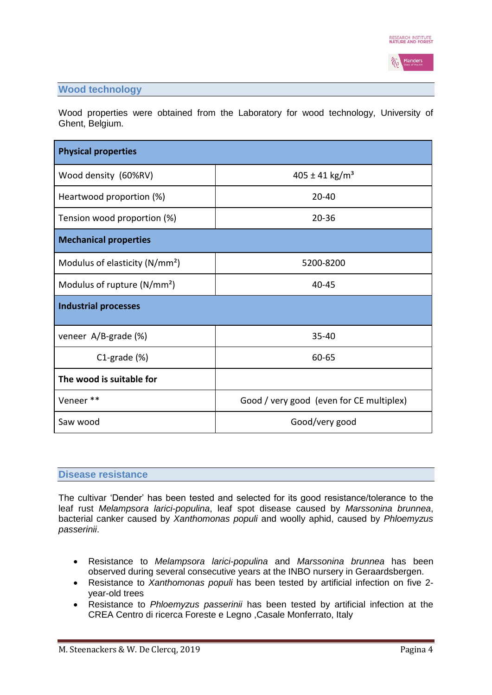

# **Wood technology**

Wood properties were obtained from the Laboratory for wood technology, University of Ghent, Belgium.

| <b>Physical properties</b>              |                                          |  |  |  |  |
|-----------------------------------------|------------------------------------------|--|--|--|--|
| Wood density (60%RV)                    | $405 \pm 41$ kg/m <sup>3</sup>           |  |  |  |  |
| Heartwood proportion (%)                | $20 - 40$                                |  |  |  |  |
| Tension wood proportion (%)             | $20 - 36$                                |  |  |  |  |
| <b>Mechanical properties</b>            |                                          |  |  |  |  |
| Modulus of elasticity ( $N/mm^2$ )      | 5200-8200                                |  |  |  |  |
| Modulus of rupture (N/mm <sup>2</sup> ) | $40 - 45$                                |  |  |  |  |
| <b>Industrial processes</b>             |                                          |  |  |  |  |
| veneer A/B-grade (%)                    | 35-40                                    |  |  |  |  |
| $C1$ -grade $(\%)$                      | 60-65                                    |  |  |  |  |
| The wood is suitable for                |                                          |  |  |  |  |
| Veneer **                               | Good / very good (even for CE multiplex) |  |  |  |  |
| Saw wood                                | Good/very good                           |  |  |  |  |

#### **Disease resistance**

The cultivar 'Dender' has been tested and selected for its good resistance/tolerance to the leaf rust *Melampsora larici-populina*, leaf spot disease caused by *Marssonina brunnea*, bacterial canker caused by *Xanthomonas populi* and woolly aphid, caused by *Phloemyzus passerinii*.

- Resistance to *Melampsora larici-populina* and *Marssonina brunnea* has been observed during several consecutive years at the INBO nursery in Geraardsbergen.
- Resistance to *Xanthomonas populi* has been tested by artificial infection on five 2 year-old trees
- Resistance to *Phloemyzus passerinii* has been tested by artificial infection at the CREA Centro di ricerca Foreste e Legno ,Casale Monferrato, Italy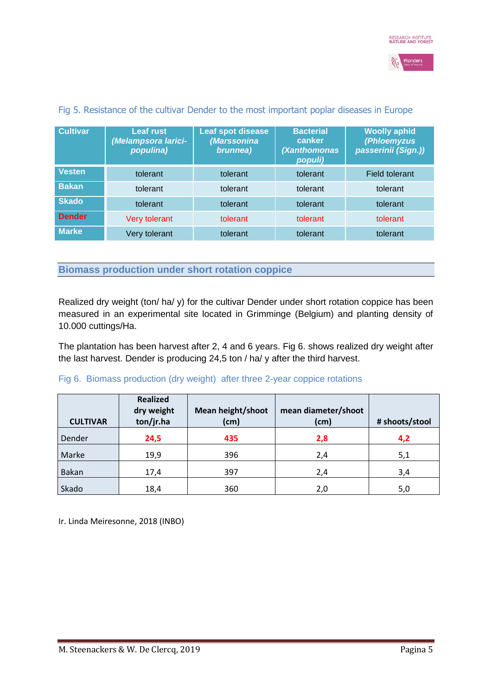

| <b>Cultivar</b> | <b>Leaf rust</b><br>(Melampsora larici-<br>populina) | Leaf spot disease<br>(Marssonina<br>brunnea) | <b>Bacterial</b><br>canker<br>(Xanthomonas<br>populi) | <b>Woolly aphid</b><br>(Phloemyzus<br>passerinii (Sign.)) |
|-----------------|------------------------------------------------------|----------------------------------------------|-------------------------------------------------------|-----------------------------------------------------------|
| <b>Vesten</b>   | tolerant                                             | tolerant                                     | tolerant                                              | <b>Field tolerant</b>                                     |
| <b>Bakan</b>    | tolerant                                             | tolerant                                     | tolerant                                              | tolerant                                                  |
| <b>Skado</b>    | tolerant                                             | tolerant                                     | tolerant                                              | tolerant                                                  |
| <b>Dender</b>   | <b>Very tolerant</b>                                 | tolerant                                     | tolerant                                              | tolerant                                                  |
| <b>Marke</b>    | Very tolerant                                        | tolerant                                     | tolerant                                              | tolerant                                                  |

## Fig 5. Resistance of the cultivar Dender to the most important poplar diseases in Europe

**Biomass production under short rotation coppice**

Realized dry weight (ton/ ha/ y) for the cultivar Dender under short rotation coppice has been measured in an experimental site located in Grimminge (Belgium) and planting density of 10.000 cuttings/Ha.

The plantation has been harvest after 2, 4 and 6 years. Fig 6. shows realized dry weight after the last harvest. Dender is producing 24,5 ton / ha/ y after the third harvest.

## Fig 6. Biomass production (dry weight) after three 2-year coppice rotations

| <b>CULTIVAR</b> | <b>Realized</b><br>dry weight<br>ton/jr.ha | <b>Mean height/shoot</b><br>(cm) | mean diameter/shoot<br>(cm) | # shoots/stool |
|-----------------|--------------------------------------------|----------------------------------|-----------------------------|----------------|
| Dender          | 24,5                                       | 435                              | 2,8                         | 4,2            |
| Marke           | 19,9                                       | 396                              | 2,4                         | 5,1            |
| Bakan           | 17,4                                       | 397                              | 2,4                         | 3,4            |
| Skado           | 18,4                                       | 360                              | 2,0                         | 5,0            |

Ir. Linda Meiresonne, 2018 (INBO)